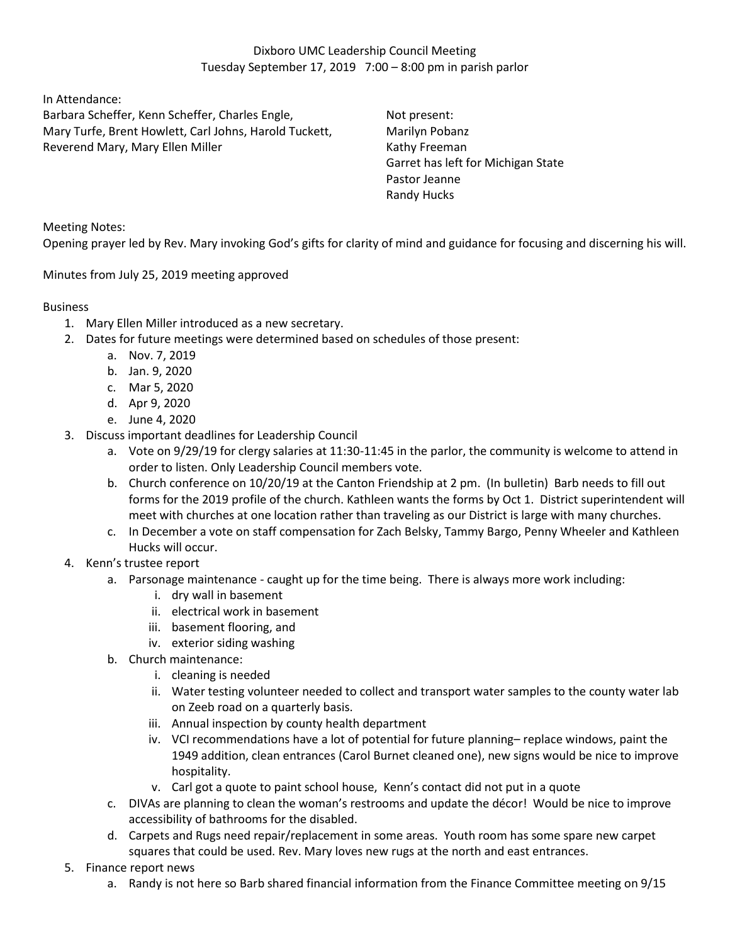In Attendance:

Barbara Scheffer, Kenn Scheffer, Charles Engle, Mary Turfe, Brent Howlett, Carl Johns, Harold Tuckett, Reverend Mary, Mary Ellen Miller

Not present: Marilyn Pobanz Kathy Freeman Garret has left for Michigan State Pastor Jeanne Randy Hucks

Meeting Notes:

Opening prayer led by Rev. Mary invoking God's gifts for clarity of mind and guidance for focusing and discerning his will.

Minutes from July 25, 2019 meeting approved

## Business

- 1. Mary Ellen Miller introduced as a new secretary.
- 2. Dates for future meetings were determined based on schedules of those present:
	- a. Nov. 7, 2019
	- b. Jan. 9, 2020
	- c. Mar 5, 2020
	- d. Apr 9, 2020
	- e. June 4, 2020
- 3. Discuss important deadlines for Leadership Council
	- a. Vote on 9/29/19 for clergy salaries at 11:30-11:45 in the parlor, the community is welcome to attend in order to listen. Only Leadership Council members vote.
	- b. Church conference on 10/20/19 at the Canton Friendship at 2 pm. (In bulletin) Barb needs to fill out forms for the 2019 profile of the church. Kathleen wants the forms by Oct 1. District superintendent will meet with churches at one location rather than traveling as our District is large with many churches.
	- c. In December a vote on staff compensation for Zach Belsky, Tammy Bargo, Penny Wheeler and Kathleen Hucks will occur.
- 4. Kenn's trustee report
	- a. Parsonage maintenance caught up for the time being. There is always more work including:
		- i. dry wall in basement
		- ii. electrical work in basement
		- iii. basement flooring, and
		- iv. exterior siding washing
	- b. Church maintenance:
		- i. cleaning is needed
		- ii. Water testing volunteer needed to collect and transport water samples to the county water lab on Zeeb road on a quarterly basis.
		- iii. Annual inspection by county health department
		- iv. VCI recommendations have a lot of potential for future planning– replace windows, paint the 1949 addition, clean entrances (Carol Burnet cleaned one), new signs would be nice to improve hospitality.
		- v. Carl got a quote to paint school house, Kenn's contact did not put in a quote
	- c. DIVAs are planning to clean the woman's restrooms and update the décor! Would be nice to improve accessibility of bathrooms for the disabled.
	- d. Carpets and Rugs need repair/replacement in some areas. Youth room has some spare new carpet squares that could be used. Rev. Mary loves new rugs at the north and east entrances.
- 5. Finance report news
	- a. Randy is not here so Barb shared financial information from the Finance Committee meeting on 9/15